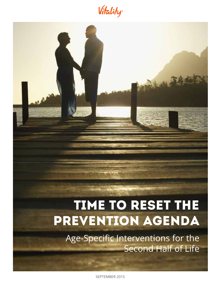Vitality



SEPTEMBER 2015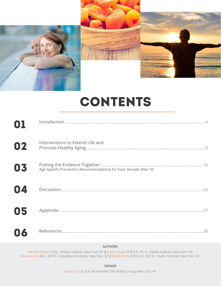

# CONTENTS

| 02 | Interventions to Extend Life and                                 |
|----|------------------------------------------------------------------|
| 03 | Age-Specific Prevention Recommendations for Each Decade After 50 |
| 04 |                                                                  |
| 05 |                                                                  |
| 06 |                                                                  |

# **AUTHORS**

Adriana Selwyn, B.Sc., Vitality Institute, New York, NY **|** Cother Hajat, M.B.B.S., Ph.D., Vitality Institute, New York, NY Mark Harris, M.D., M.P.H., Columbia University, New York, NY **|** Derek Yach, M.B.Ch.B., M.P.H., Vitality Institute, New York, NY

**DESIGN**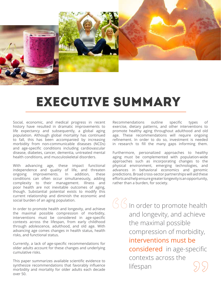

# EXECutive SUMMARY

Social, economic, and medical progress in recent history have resulted in dramatic improvements to life expectancy and subsequently, a global aging population. Although global mortality has continued to fall, this has been accompanied by increasing morbidity from non-communicable diseases (NCDs) and age-specific conditions including cardiovascular disease, diabetes, cancer, dementia, untreated mental health conditions, and musculoskeletal disorders.

With advancing age, these impact functional independence and quality of life, and threaten ongoing improvements. In addition, these conditions can often occur simultaneously, adding complexity to their management. Illness and poor health are not inevitable outcomes of aging, though. Substantial potential exists to modify this current relationship and diminish the economic and social burden of an aging population.

In order to promote health and longevity, and achieve the maximal possible compression of morbidity, interventions must be considered in age-specific contexts across the lifespan, from early childhood through adolescence, adulthood, and old age. With advancing age comes changes in health status, health risks, and functional status.

Currently, a lack of age-specific recommendations for older adults account for these changes and underlying cumulative risks.

This paper summarizes available scientific evidence to synthesize recommendations that favorably influence morbidity and mortality for older adults each decade over 50.

Recommendations outline specific types of exercise, dietary patterns, and other interventions to promote healthy aging throughout adulthood and old age. These recommendations will require ongoing refinement. In order to do so, investment is needed in research to fill the many gaps informing them.

Furthermore, personalized approaches to healthy aging must be complemented with population-wide approaches such as incorporating changes to the physical environment, emerging technologies, and advances in behavioral economics and genomic predictions. Broad cross-sector partnerships will aid these efforts and help ensure greater longevity is an opportunity, rather than a burden, for society.

 $G$   $G$  in order to promote health and longevity, and achieve the maximal possible compression of morbidity, interventions must be considered in age-specific contexts across the lifespan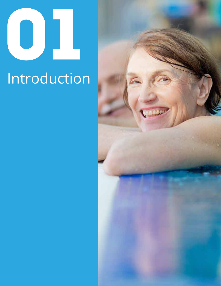# 01

# **Introduction**

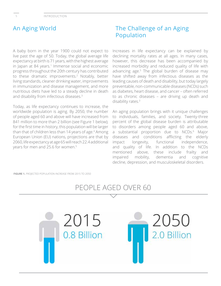# An Aging World

A baby born in the year 1900 could not expect to live past the age of 50. Today, the global average life expectancy at birth is 71 years, with the highest average in Japan at 84 years.<sup>1</sup> Immense social and economic progress throughout the 20th century has contributed to these dramatic improvements.2 Notably, better living standards, cleaner drinking water, improvements in immunization and disease management, and more nutritious diets have led to a steady decline in death and disability from infectious diseases.3

Today, as life expectancy continues to increase, the worldwide population is aging. By 2050, the number of people aged 60 and above will have increased from 841 million to more than 2 billion (see Figure 1 below); for the first time in history, this population will be larger than that of children less than 14 years of age.<sup>4</sup> Among European Union (EU) nations, projections are that by 2060, life expectancy at age 65 will reach 22.4 additional years for men and 25.6 for women.<sup>5</sup>

# The Challenge of an Aging Population

Increases in life expectancy can be explained by declining mortality rates at all ages. In many cases, however, this decrease has been accompanied by increased morbidity and reduced quality of life with advancing age.5 The global burden of disease may have shifted away from infectious diseases as the leading causes of death and disability, but today largely preventable, non-communicable diseases (NCDs) such as diabetes, heart disease, and cancer – often referred to as chronic diseases – are driving up death and disability rates.<sup>3</sup>

An aging population brings with it unique challenges to individuals, families, and society. Twenty-three percent of the global disease burden is attributable to disorders among people aged 60 and above, a substantial proportion due to NCDs.<sup>6</sup> Major diseases and conditions afflicting the elderly impact longevity, functional independence, and quality of life. In addition to the NCDs mentioned above, these include frailty and impaired mobility, dementia and cognitive decline, depression, and musculoskeletal disorders.

**FIGURE 1.** PROJECTED POPULATION INCREASE FROM 2015 TO 2050

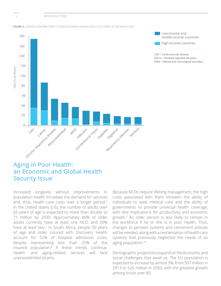INTRODUCTION







CVD = Cardiovascular disease DALYs = Disabilty-adjusted life years MND = Mental and neurological disorders

# Aging in Poor Health: an Economic and Global Health Security Issue

Increased longevity without improvements in population health increases the demand for services and, thus, health care costs over a longer period.<sup>5</sup> In the United States (US), the number of adults over 65 years of age is expected to more than double to 71 million by 2030. Approximately 80% of older adults currently have at least one NCD, and 50% have at least two.<sup>7</sup> In South Africa, people 50 years of age and older insured with Discovery Health account for 52% of hospital admission costs, despite representing less than 25% of the insured population.8 If these trends continue, health- and aging-related services will face unprecedented strains.

Because NCDs require lifelong management, the high costs associated with them threaten the ability of individuals to seek medical care and the ability of governments to provide universal health coverage, with dire implications for productivity and economic growth.9 An older person is less likely to remain in the workforce if he or she is in poor health. Thus, changes to pension systems and retirement policies will be needed, along with a reorientation of health care systems that previously neglected the needs of an aging population.10

Demographic projections expand on the economic and social challenges that await us. The EU population is expected to increase by almost 5%, from 507 million in 2013 to 526 million in 2050, with the greatest growth among those over 80.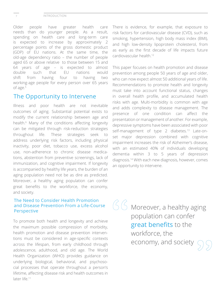### INTRODUCTION

Older people have greater health care needs than do younger people. As a result, spending on health care and long-term care is expected to increase by approximately 2 percentage points of the gross domestic product (GDP) of EU nations. At the same time, the old-age dependency ratio – the number of people aged 65 or above relative to those between 15 and 64 years of age – is expected to almost double such that EU nations would shift from having four to having two working-age people for every person over 65 years of age.<sup>5</sup>

# The Opportunity to Intervene

Illness and poor health are not inevitable outcomes of aging. Substantial potential exists to modify the current relationship between age and health.6 Many of the conditions affecting longevity can be mitigated through risk-reduction strategies throughout life. These strategies seek to address underlying risk factors, including physical inactivity, poor diet, tobacco use, excess alcohol use, non-adherence to chronic disease medications, abstention from preventive screenings, lack of immunization, and cognitive impairment. If longevity is accompanied by healthy life years, the burden of an aging population need not be as dire as predicted. Moreover, a healthy aging population can confer great benefits to the workforce, the economy, and society.

# The Need to Consider Health Promotion and Disease Prevention From a Life-Course Perspective

To promote both health and longevity and achieve the maximum possible compression of morbidity, health promotion and disease prevention interventions must be considered in age-specific contexts across the lifespan, from early childhood through adolescence, adulthood, and old age. The World Health Organization (WHO) provides guidance on underlying biological, behavioral, and psychosocial processes that operate throughout a person's lifetime, affecting disease risk and health outcomes in later life.<sup>11</sup>

There is evidence, for example, that exposure to risk factors for cardiovascular disease (CVD), such as smoking, hypertension, high body mass index (BMI), and high low-density lipoprotein cholesterol, from as early as the first decade of life impacts future cardiovascular health.12

This paper focuses on health promotion and disease prevention among people 50 years of age and older, who can now expect almost 50 additional years of life. Recommendations to promote health and longevity must take into account functional status, changes in overall health profile, and accumulated health risks with age. Multi-morbidity is common with age and adds complexity to disease management. The presence of one condition can affect the presentation or management of another. For example, depressive symptoms have been associated with poor self-management of type 2 diabetes.<sup>13</sup> Late-onset major depression combined with cognitive impairment increases the risk of Alzheimer's disease, with an estimated 40% of individuals developing dementia within 3 to 5 years of depression diagnosis.14 With each new diagnosis, however, comes an opportunity to intervene.

 $66$  Moreover, a healthy aging population can confer great benefits to the workforce, the economy, and society

7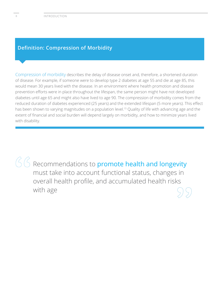# **Definition: Compression of Morbidity**

Compression of morbidity describes the delay of disease onset and, therefore, a shortened duration of disease. For example, if someone were to develop type 2 diabetes at age 55 and die at age 85, this would mean 30 years lived with the disease. In an environment where health promotion and disease prevention efforts were in place throughout the lifespan, the same person might have not developed diabetes until age 65 and might also have lived to age 90. The compression of morbidity comes from the reduced duration of diabetes experienced (25 years) and the extended lifespan (5 more years). This effect has been shown to varying magnitudes on a population level.<sup>15</sup> Quality of life with advancing age and the extent of financial and social burden will depend largely on morbidity, and how to minimize years lived with disability.

 Recommendations to promote health and longevity must take into account functional status, changes in overall health profile, and accumulated health risks with age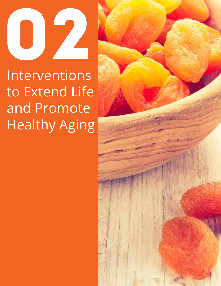

Interventions to Extend Life and Promote Healthy Aging

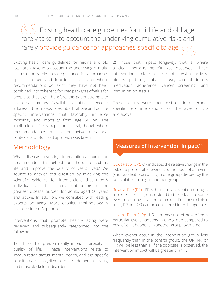# $(5/5)$  Existing health care guidelines for midlife and old age rarely take into account the underlying cumulative risks and rarely provide guidance for approaches specific to age

Existing health care guidelines for midlife and old age rarely take into account the underlying cumulative risk and rarely provide guidance for approaches specific to age and functional level; and where recommendations do exist, they have not been combined into coherent, focused packages of value for people as they age. Therefore, this paper attempts to provide a summary of available scientific evidence to address the needs described above and outline specific interventions that favorably influence morbidity and mortality from age 50 on. The implications of this paper are global, though where recommendations may differ between national contexts, a US-focused approach was taken.

# Methodology

What disease-preventing interventions should be recommended throughout adulthood to extend life and improve the quality of years lived? We sought to answer this question by reviewing the scientific evidence for interventions that modify individual-level risk factors contributing to the greatest disease burden for adults aged 50 years and above. In addition, we consulted with leading experts on aging. More detailed methodology is provided in the Appendix.

Interventions that promote healthy aging were reviewed and subsequently categorized into the following:

1) Those that predominantly impact morbidity or quality of life. These interventions relate to immunization status, mental health, and age-specific conditions of cognitive decline, dementia, frailty, and musculoskeletal disorders.

2) Those that impact longevity; that is, where a clear mortality benefit was observed. These interventions relate to level of physical activity, dietary patterns, tobacco use, alcohol intake, medication adherence, cancer screening, and immunization status.

These results were then distilled into decadespecific recommendations for the ages of 50 and above.

# **Measures of Intervention Impact<sup>16</sup>**

Odds Ratio (OR): OR indicates the relative change in the risk of a preventable event. It is the odds of an event (such as death) occurring in one group divided by the odds of it occurring in another group.

Relative Risk (RR): RR is the risk of an event occurring in an experimental group divided by the risk of the same event occurring in a control group. For most clinical trials, RR and OR can be considered interchangeable.

Hazard Ratio (HR): HR is a measure of how often a particular event happens in one group compared to how often it happens in another group, over time.

When events occur in the intervention group less frequently than in the control group, the OR, RR, or HR will be less than 1. If the opposite is observed, the intervention impact will be greater than 1.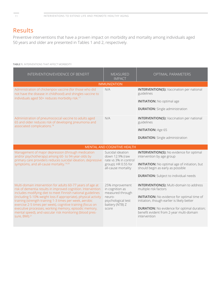# Results

Preventive interventions that have a proven impact on morbidity and mortality among individuals aged 50 years and older are presented in Tables 1 and 2, respectively.

## **TABLE 1.** INTERVENTIONS THAT AFFECT MORBIDITY

| INTERVENTION/EVIDENCE OF BENEFIT                                                                                                                                                                                                                                                                                                                                                                                                                                                                                                        | <b>MEASURED</b><br><b>IMPACT</b>                                                                                   | <b>OPTIMAL PARAMETERS</b>                                                                                                                                                                                                                                                                       |
|-----------------------------------------------------------------------------------------------------------------------------------------------------------------------------------------------------------------------------------------------------------------------------------------------------------------------------------------------------------------------------------------------------------------------------------------------------------------------------------------------------------------------------------------|--------------------------------------------------------------------------------------------------------------------|-------------------------------------------------------------------------------------------------------------------------------------------------------------------------------------------------------------------------------------------------------------------------------------------------|
|                                                                                                                                                                                                                                                                                                                                                                                                                                                                                                                                         | <b>IMMUNIZATION</b>                                                                                                |                                                                                                                                                                                                                                                                                                 |
| Administration of chickenpox vaccine (for those who did<br>not have the disease in childhood) and shingles vaccine to<br>individuals aged 50+ reduces morbidity risk. <sup>17</sup>                                                                                                                                                                                                                                                                                                                                                     | N/A                                                                                                                | <b>INTERVENTION(S): Vaccination per national</b><br>guidelines<br><b>INITIATION:</b> No optimal age<br><b>DURATION:</b> Single administration                                                                                                                                                   |
| Administration of pneumococcal vaccine to adults aged<br>65 and older reduces risk of developing pneumonia and<br>associated complications. <sup>18</sup>                                                                                                                                                                                                                                                                                                                                                                               | N/A                                                                                                                | <b>INTERVENTION(S): Vaccination per national</b><br>guidelines<br><b>INITIATION: Age 65</b><br><b>DURATION:</b> Single administration                                                                                                                                                           |
|                                                                                                                                                                                                                                                                                                                                                                                                                                                                                                                                         | MENTAL AND COGNITIVE HEALTH                                                                                        |                                                                                                                                                                                                                                                                                                 |
| Management of major depression (through medication<br>and/or psychotherapy) among 60- to 94-year-olds by<br>primary care providers reduces suicidal ideation, depressive<br>symptoms, and all-cause mortality. <sup>19,20</sup>                                                                                                                                                                                                                                                                                                         | Suicidal ideation<br>down 12.9% (raw<br>rate vs 3% in control<br>group); HR 0.55 for<br>all-cause mortality        | <b>INTERVENTION(S): No evidence for optimal</b><br>intervention by age group<br><b>INITIATION:</b> No optimal age of initiation, but<br>should begin as early as possible<br><b>DURATION:</b> Subject to individual needs                                                                       |
| Multi-domain intervention for adults 60-77 years of age at<br>risk of dementia results in improved cognition. Intervention<br>includes modifying diet to meet Finnish national guidelines<br>(including 5-10% weight loss if appropriate), physical activity<br>training (strength training 1-3 times per week, aerobic<br>exercise 2-5 times per week), cognitive training (focus on<br>executive processes, working memory, episodic memory,<br>mental speed), and vascular risk monitoring (blood pres-<br>sure, BMI). <sup>21</sup> | 25% improvement<br>in cognition as<br>measured through<br>neuro-<br>psychological test<br>battery (NTB) Z<br>score | <b>INTERVENTION(S): Multi-domain to address</b><br>multiple risk factors<br><b>INITIATION:</b> No evidence for optimal time of<br>initiation, though earlier is likely better<br><b>DURATION:</b> No evidence for optimal duration;<br>benefit evident from 2-year multi-domain<br>intervention |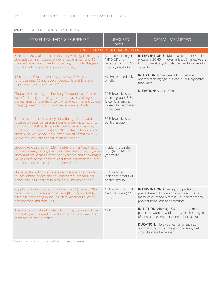### **TABLE 1.** INTERVENTIONS THAT AFFECT MORBIDITY, CONT.

| INTERVENTION/EVIDENCE OF BENEFIT                                                                                                                                                                                                                                                                                                                                               | <b>MEASURED</b><br><b>IMPACT</b>                                                                      | OPTIMAL PARAMETERS                                                                                                                                                                                                                                                    |
|--------------------------------------------------------------------------------------------------------------------------------------------------------------------------------------------------------------------------------------------------------------------------------------------------------------------------------------------------------------------------------|-------------------------------------------------------------------------------------------------------|-----------------------------------------------------------------------------------------------------------------------------------------------------------------------------------------------------------------------------------------------------------------------|
|                                                                                                                                                                                                                                                                                                                                                                                | FRAILTY, MUSCULOSKELETAL DISORDERS                                                                    |                                                                                                                                                                                                                                                                       |
| 30 minutes/day of moderate-intensity walking, 10 minutes'<br>strength training (focused on lower extremities), and 10<br>minutes' balance and flexibility training for 70- to 89-year-<br>olds at risk for disability improves mobility. <sup>22</sup>                                                                                                                         | Reduction in major<br>(HR 0.82) and<br>persistent (HR 0.72)<br>mobility disability                    | <b>INTERVENTION(S): Multi-component exercise</b><br>program (30-45 minutes at least 3 times/week)<br>to improve strength, balance, flexibility, aerobic<br>capacity                                                                                                   |
| 15 minutes of Tai Chi twice daily over a 15-week period<br>for those aged 70 and above reduces risks of falls and<br>improves indicators of frailty. <sup>23</sup>                                                                                                                                                                                                             | 47.5% reduced risk<br>of falls                                                                        | <b>INITIATION:</b> No evidence for or against<br>optimal starting age, but earlier is likely better<br>than later                                                                                                                                                     |
| Group exercise program involving 1 hour of class 2 times/<br>week (including stretching, moderate-paced walking, condi-<br>tioning, muscle relaxation, controlled breathing, and guided<br>imagery) over 12 months reduces incidence of falls. <sup>24</sup>                                                                                                                   | 22% fewer falls vs<br>control group; 31%<br>fewer falls among<br>those who had fallen<br>in past year | <b>DURATION:</b> At least 5 months                                                                                                                                                                                                                                    |
| 1-hour exercise class weekly (individually tailored and<br>focused on balance, strength, bone, endurance, flexibility,<br>gait, functional skills, fall avoidance, backward-chaining,<br>functional floor exercises) and 30 minutes of home exer-<br>cises twice weekly (focus on lower limb strength) over 36<br>weeks reduced falls and fall-related injuries. <sup>25</sup> | 31% fewer falls vs<br>control group                                                                   |                                                                                                                                                                                                                                                                       |
| Group exercise program (30 minutes, 3 times/week) that<br>involved strengthening exercises, balance and stability exer-<br>cises, and active range of motion exercises and encouraged<br>walking outside the home at least twice per week reduced<br>incidence of falls and 12-month mortality. <sup>26</sup>                                                                  | Incident rate ratio<br>0.68 (falls); RR 0.45<br>(mortality)                                           |                                                                                                                                                                                                                                                                       |
| Home safety visits by occupational therapists to provide<br>fall-prevention advice and equipment reduces falls inci-<br>dence and injuries from falls over a 12-month period. <sup>27</sup>                                                                                                                                                                                    | 41% reduced<br>incidence of falls vs<br>control group                                                 |                                                                                                                                                                                                                                                                       |
| Supplementation of calcium and vitamin D (at least 1200mg<br>calcium and 800 International Units [IU] vitamin D daily)<br>assists in preventing musculoskeletal disorders such as<br>osteoporosis and fractures. <sup>28</sup>                                                                                                                                                 | 12% reduction in all<br>fracture types (RR<br>0.88)                                                   | <b>INTERVENTION(S): Adequate protein to</b><br>prevent malnutrition and maintain muscle<br>mass, calcium and vitamin D supplements to<br>prevent bone loss and fractures                                                                                              |
| Average daily intake of protein 1-1.2 g/kg body weight/day<br>for healthy adults aged 65 and above maintains lean body<br>mass and muscle function. <sup>29</sup>                                                                                                                                                                                                              | $N/A^a$                                                                                               | <b>INITIATION:</b> After age 50 (or around meno-<br>pause for women) and priority for those aged<br>65 and above (when incidence increases)<br><b>DURATION:</b> No evidence for or against<br>optimal duration, although optimizing diet<br>should always be relevant |

<sup>a</sup> Recommendations from expert committee consensus.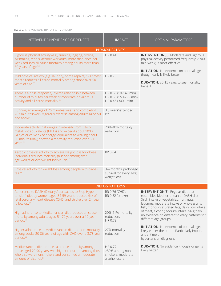### **TABLE 2.** INTERVENTIONS THAT AFFECT MORTALITY

| INTERVENTION/EVIDENCE OF BENEFIT                                                                                                                                                                                                                             | <b>IMPACT</b>                                                       | <b>OPTIMAL PARAMETERS</b>                                                                                                                                                                                                   |
|--------------------------------------------------------------------------------------------------------------------------------------------------------------------------------------------------------------------------------------------------------------|---------------------------------------------------------------------|-----------------------------------------------------------------------------------------------------------------------------------------------------------------------------------------------------------------------------|
|                                                                                                                                                                                                                                                              | PHYSICAL ACTIVITY                                                   |                                                                                                                                                                                                                             |
| Vigorous physical activity (e.g., running, jogging, cycling,<br>swimming, tennis, aerobic workouts) more than once per<br>week reduces all-cause mortality among adults more than<br>50 years of age. <sup>30</sup>                                          | HR 0.44                                                             | <b>INTERVENTION(S): Moderate and vigorous</b><br>physical activity performed frequently (≥300<br>min/week) is most effective<br><b>INITIATION:</b> No evidence on optimal age,                                              |
| Mild physical activity (e.g., laundry, home repairs) 1-3 times/<br>month reduces all-cause mortality among those over 50<br>years of age. <sup>30</sup>                                                                                                      | HR 0.76                                                             | though early is likely better<br><b>DURATION:</b> $\geq$ 5-15 years to see mortality<br>benefit                                                                                                                             |
| There is a dose-response, inverse relationship between<br>number of minutes per week of moderate or vigorous<br>activity and all-cause mortality. <sup>31</sup>                                                                                              | HR 0.66 (10-149 min)<br>HR 0.53 (150-299 min)<br>HR 0.46 (300+ min) |                                                                                                                                                                                                                             |
| Running an average of 76 minutes/week and completing<br>287 minutes/week vigorous exercise among adults aged 50<br>and above. <sup>11</sup>                                                                                                                  | 3.3 years' extended<br>life                                         |                                                                                                                                                                                                                             |
| Moderate activity that ranges in intensity from 3 to 6<br>metabolic equivalents (METs) and expend about 1000<br>(kilo)calories/week of energy (equivalent to walking about<br>30 minutes/day) showed a mortality reduction over 5-15<br>years. <sup>32</sup> | 20%-40% mortality<br>reduction                                      |                                                                                                                                                                                                                             |
| Aerobic physical activity to achieve weight loss for obese<br>individuals reduces mortality (but not among aver-<br>age-weight or overweight individuals). <sup>33</sup>                                                                                     | RR 0.84                                                             |                                                                                                                                                                                                                             |
| Physical activity for weight loss among people with diabe-<br>tes. $33$                                                                                                                                                                                      | 3-4 months' prolonged<br>survival for every 1-kg<br>weight loss     |                                                                                                                                                                                                                             |
|                                                                                                                                                                                                                                                              | <b>DIETARY PATTERNS</b>                                             |                                                                                                                                                                                                                             |
| Adherence to DASH (Dietary Approaches to Stop Hyper-<br>tension) diet by women aged 34-59 years reduces risk of<br>fatal coronary heart disease (CHD) and stroke over 24-year<br>follow-up. <sup>34</sup>                                                    | RR 0.76 (CHD);<br>RR 0.82 (stroke)                                  | <b>INTERVENTION(S): Regular diet that</b><br>resembles Mediterranean or DASH diet<br>(high intake of vegetables, fruit, nuts,<br>legumes; moderate intake of whole grains,<br>fish, monounsaturated fats, dairy; low intake |
| High adherence to Mediterranean diet reduces all-cause<br>mortality among adults aged 51-70 years over a 10-year<br>period. <sup>35</sup>                                                                                                                    | 20%-21% mortality<br>reduction;<br>HR 0.79                          | of meat, alcohol; sodium intake 3-6 g/day);<br>no evidence on different dietary patterns for<br>different age groups                                                                                                        |
| Higher adherence to Mediterranean diet reduces mortality<br>among adults 20-86 years of age with CHD over a 3.78-year<br>period. <sup>36</sup>                                                                                                               | 27% mortality<br>reduction                                          | <b>INITIATION:</b> No evidence of optimal age;<br>likely earlier the better. Particularly import-<br>ant at time of<br>hypertension diagnosis                                                                               |
| Mediterranean diet reduces all-cause mortality among<br>those aged 70-90 years, with higher reduction among those<br>who also were nonsmokers and consumed a moderate<br>amount of alcohol. <sup>37</sup>                                                    | HR 0.77;<br>>50% among non-<br>smokers, moderate<br>alcohol users   | <b>DURATION:</b> No evidence, though longer is<br>likely better                                                                                                                                                             |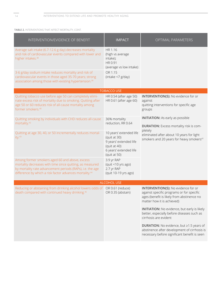**TABLE 2.** INTERVENTIONS THAT AFFECT MORTALITY, CONT.

| INTERVENTION/EVIDENCE OF BENEFIT                                                                                                                                                                                                                 | <b>IMPACT</b>                                                                                                               | OPTIMAL PARAMETERS                                                                                                                                                  |  |
|--------------------------------------------------------------------------------------------------------------------------------------------------------------------------------------------------------------------------------------------------|-----------------------------------------------------------------------------------------------------------------------------|---------------------------------------------------------------------------------------------------------------------------------------------------------------------|--|
| Average salt intake (6.7-12.6 g day) decreases mortality<br>and risk of cardiovascular events compared with lower and<br>higher intakes. <sup>38</sup>                                                                                           | HR 1.16<br>(high vs average<br>intake);<br>HR 0.91<br>(average vs low intake)                                               |                                                                                                                                                                     |  |
| 3-6 g/day sodium intake reduces mortality and risk of<br>cardiovascular events in those aged 35-70 years; strong<br>association among those with existing hypertension. <sup>39</sup>                                                            | OR 1.15<br>(intake <7 g/day)                                                                                                |                                                                                                                                                                     |  |
|                                                                                                                                                                                                                                                  | <b>TOBACCO USE</b>                                                                                                          |                                                                                                                                                                     |  |
| Quitting tobacco use before age 50 can completely elimi-<br>nate excess risk of mortality due to smoking. Quitting after<br>age 50 or 60 reduces risk of all-cause mortality among<br>former smokers. <sup>40</sup>                              | HR 0.54 (after age 50)<br>HR 0.61 (after age 60)                                                                            | <b>INTERVENTION(S): No evidence for or</b><br>against<br>quitting interventions for specific age<br>groups                                                          |  |
| Quitting smoking by individuals with CHD reduces all-cause<br>mortality. <sup>42</sup>                                                                                                                                                           | 36% mortality<br>reduction, RR 0.64                                                                                         | <b>INITIATION:</b> As early as possible<br><b>DURATION:</b> Excess mortality risk is com-                                                                           |  |
| Quitting at age 30, 40, or 50 incrementally reduces mortal-<br>ity. <sup>43</sup>                                                                                                                                                                | 10 years' extended life<br>(quit at 30)<br>9 years' extended life<br>(quit at 40)<br>6 years' extended life<br>(quit at 50) | pletely<br>eliminated after about 10 years for light<br>smokers and 20 years for heavy smokers <sup>41</sup>                                                        |  |
| Among former smokers aged 60 and above, excess<br>mortality decreases with time since quitting, as measured<br>by mortality rate advancement periods (RAPs), i.e. the age<br>difference by which a risk factor advances mortality. <sup>44</sup> | 3.9 yr RAP<br>(quit <10 yrs ago)<br>2.7 yr RAP<br>(quit 10-19 yrs ago)                                                      |                                                                                                                                                                     |  |
| <b>ALCOHOL USE</b>                                                                                                                                                                                                                               |                                                                                                                             |                                                                                                                                                                     |  |
| Reducing or abstaining from drinking alcohol lowers odds of<br>death compared with continued heavy drinking. <sup>45</sup>                                                                                                                       | OR 0.61 (reduce)<br>OR 0.35 (abstain)                                                                                       | <b>INTERVENTION(S): No evidence for or</b><br>against specific programs or for specific<br>ages (benefit is likely from abstinence no<br>matter how it is achieved) |  |
|                                                                                                                                                                                                                                                  |                                                                                                                             | <b>INITIATION:</b> No evidence, but early is likely<br>better, especially before diseases such as<br>cirrhosis are evident                                          |  |
|                                                                                                                                                                                                                                                  |                                                                                                                             | <b>DURATION:</b> No evidence, but ≥1.5 years of<br>abstinence after development of cirrhosis is<br>necessary before significant benefit is seen                     |  |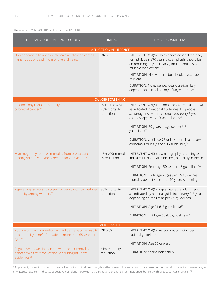#### **TABLE 2.** INTERVENTIONS THAT AFFECT MORTALITY, CONT.

| INTERVENTION/EVIDENCE OF BENEFIT                                                                                                             | <b>IMPACT</b>                                | OPTIMAL PARAMETERS                                                                                                                                                                                                                                                                                                                                                                                                       |
|----------------------------------------------------------------------------------------------------------------------------------------------|----------------------------------------------|--------------------------------------------------------------------------------------------------------------------------------------------------------------------------------------------------------------------------------------------------------------------------------------------------------------------------------------------------------------------------------------------------------------------------|
|                                                                                                                                              | <b>MEDICATION ADHERENCE</b>                  |                                                                                                                                                                                                                                                                                                                                                                                                                          |
| Non-adherence to antihypertensive medication carries<br>higher odds of death from stroke at 2 years. <sup>46</sup>                           | OR 3.81                                      | <b>INTERVENTION(S): No evidence on ideal method;</b><br>for individuals ≥70 years old, emphasis should be<br>on reducing polypharmacy (simultaneous use of<br>multiple medications) <sup>47</sup><br><b>INITIATION:</b> No evidence, but should always be<br>relevant                                                                                                                                                    |
|                                                                                                                                              |                                              | <b>DURATION:</b> No evidence; ideal duration likely<br>depends on natural history of target disease                                                                                                                                                                                                                                                                                                                      |
|                                                                                                                                              | <b>CANCER SCREENING</b>                      |                                                                                                                                                                                                                                                                                                                                                                                                                          |
| Colonoscopy reduces mortality from<br>colorectal cancer. <sup>48</sup>                                                                       | Estimated 60%-<br>70% mortality<br>reduction | <b>INTERVENTION(S):</b> Colonoscopy at regular intervals<br>as indicated in national guidelines; for people<br>at average risk virtual colonoscopy every 5 yrs,<br>colonoscopy every 10 yrs in the US <sup>49</sup><br><b>INITIATION:</b> 50 years of age (as per US<br>guidelines) <sup>50</sup><br><b>DURATION:</b> Until age 75 unless there is a history of<br>abnormal results (as per US guidelines) <sup>50</sup> |
| Mammography reduces mortality from breast cancer                                                                                             | 15%-20% mortal-                              | <b>INTERVENTION(S):</b> Mammography screening as                                                                                                                                                                                                                                                                                                                                                                         |
| among women who are screened for ≥10 years. <sup>b.51</sup>                                                                                  | ity reduction                                | indicated in national guidelines, biennially in the US<br><b>INITIATION:</b> From age 50 (as per US guidelines) <sup>52</sup><br><b>DURATION:</b> Until age 75 (as per US guidelines) <sup>52</sup> ;<br>mortality benefit seen after 10 years' screening                                                                                                                                                                |
| Regular Pap smears to screen for cervical cancer reduces<br>mortality among women. <sup>53</sup>                                             | 80% mortality<br>reduction                   | <b>INTERVENTION(S): Pap smear at regular intervals</b><br>as indicated by national guidelines (every 3-5 years,<br>depending on results as per US guidelines)<br><b>INITIATION:</b> Age 21 (US guidelines) <sup>54</sup><br><b>DURATION:</b> Until age 65 (US guidelines) <sup>54</sup>                                                                                                                                  |
|                                                                                                                                              | <b>IMMUNIZATION</b>                          |                                                                                                                                                                                                                                                                                                                                                                                                                          |
| Routine primary prevention with influenza vaccine results<br>in a mortality benefit for patients more than 65 years of<br>age. <sup>55</sup> | OR 0.69                                      | <b>INTERVENTION(S):</b> Seasonal vaccination per<br>national guidelines<br><b>INITIATION:</b> Age 65 onward                                                                                                                                                                                                                                                                                                              |
| Regular yearly vaccination shows stronger mortality<br>benefit over first-time vaccination during influenza<br>epidemics. <sup>56</sup>      | 41% mortality<br>reduction                   | <b>DURATION:</b> Yearly, indefinitely                                                                                                                                                                                                                                                                                                                                                                                    |

<sup>b</sup> At present, screening is recommended in clinical guidelines, though further research is necessary to determine the mortality benefits of mammography. Latest research indicates a positive correlation between screening and breast cancer incidence, but not with breast cancer mortality.<sup>57</sup>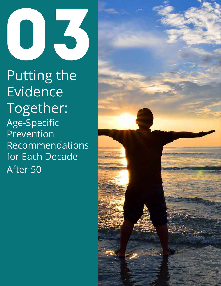

Putting the Evidence Together: Age-Specific Prevention Recommendations for Each Decade After 50

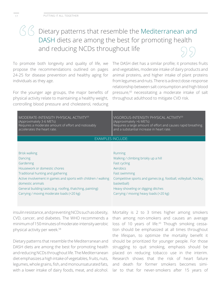# $\left(\frac{1}{2}, \frac{1}{2}\right)$  Dietary patterns that resemble the Mediterranean and DASH diets are among the best for promoting health and reducing NCDs throughout life

To promote both longevity and quality of life, we propose the recommendations outlined on pages 24-25 for disease prevention and healthy aging for individuals as they age.

For the younger age groups, the major benefits of physical activity relate to maintaining a healthy weight, controlling blood pressure and cholesterol, reducing

The DASH diet has a similar profile; it promotes fruits and vegetables, moderate intake of dairy products and animal proteins, and higher intake of plant proteins from legumes and nuts. There is a direct dose-response relationship between salt consumption and high blood pressure,<sup>60</sup> necessitating a moderate intake of salt throughout adulthood to mitigate CVD risk.

| MODERATE-INTENSITY PHYSICAL ACTIVITY <sup>59</sup><br>(Approximately 3-6 METs)<br>Requires a moderate amount of effort and noticeably<br>accelerates the heart rate. | VIGOROUS-INTENSITY PHYSICAL ACTIVITY <sup>59</sup><br>(Approximately >6 METs)<br>Requires a large amount of effort and causes rapid breathing<br>and a substantial increase in heart rate. |
|----------------------------------------------------------------------------------------------------------------------------------------------------------------------|--------------------------------------------------------------------------------------------------------------------------------------------------------------------------------------------|
| EXAMPLES INCLUDE:                                                                                                                                                    |                                                                                                                                                                                            |
|                                                                                                                                                                      |                                                                                                                                                                                            |
| <b>Brisk walking</b>                                                                                                                                                 | Running                                                                                                                                                                                    |
| Dancing                                                                                                                                                              | Walking / climbing briskly up a hill                                                                                                                                                       |
| Gardening                                                                                                                                                            | Fast cycling                                                                                                                                                                               |
| Housework or domestic chores                                                                                                                                         | Aerobics                                                                                                                                                                                   |
| Traditional hunting and gathering                                                                                                                                    | <b>Fast swimming</b>                                                                                                                                                                       |
| Active involvement in games and sports with children / walking<br>domestic animals                                                                                   | Competitive sports and games (e.g. football, volleyball, hockey,<br>basketball)                                                                                                            |
| General building tasks (e.g. roofing, thatching, painting)                                                                                                           | Heavy shoveling or digging ditches                                                                                                                                                         |
| Carrying / moving moderate loads (<20 kg)                                                                                                                            | Carrying / moving heavy loads (>20 kg)                                                                                                                                                     |

insulin resistance, and preventing NCDs such as obesity, CVD, cancer, and diabetes. The WHO recommends a minimum of 150 minutes of moderate-intensity aerobic physical activity per week.<sup>58</sup>

Dietary patterns that resemble the Mediterranean and DASH diets are among the best for promoting health and reducing NCDs throughout life. The Mediterranean diet emphasizes a high intake of vegetables, fruits, nuts, legumes, whole grains, fish, and monounsaturated fats, with a lower intake of dairy foods, meat, and alcohol.

Mortality is 2 to 3 times higher among smokers than among non-smokers and causes an average loss of 10 years of life.<sup>43</sup> Though smoking cessation should be emphasized at all times throughout the lifespan, to optimize the mortality benefit it should be prioritized for younger people. For those struggling to quit smoking, emphasis should be placed on reducing tobacco use in the interim. Research shows that the risk of heart failure and death for former smokers becomes similar to that for never-smokers after 15 years of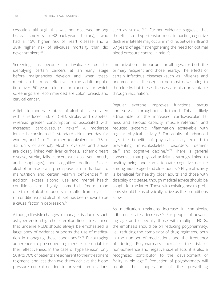cessation, although this was not observed among heavy smokers (>32-pack-year history), who had a 45% higher risk of heart disease and a 38% higher risk of all-cause mortality than did never-smokers.61

Screening has become an invaluable tool for identifying certain cancers at an early stage before malignancies develop and when treatment can be more effective. In the adult population over 50 years old, major cancers for which screenings are recommended are colon, breast, and cervical cancer.

A light to moderate intake of alcohol is associated with a reduced risk of CHD, stroke, and diabetes, whereas greater consumption is associated with increased cardiovascular risks.62 A moderate intake is considered 1 standard drink per day for women, and 1 to 2 for men (equivalent to 1.75 to 3.5 units of alcohol). Alcohol overuse and abuse are closely linked with liver cirrhosis, ischemic heart disease, stroke, falls, cancers (such as liver, mouth, and esophagus), and cognitive decline. Excess alcohol intake can predispose an individual to malnutrition and certain vitamin deficiencies.63 In addition, excess alcohol use and mental health conditions are highly comorbid (more than one-third of alcohol abusers also suffer from psychiatric conditions), and alcohol itself has been shown to be a causal factor in depression.<sup>64</sup>

Although lifestyle changes to manage risk factors such as hypertension, high cholesterol, and insulin resistance that underlie NCDs should always be emphasized, a large body of evidence supports the use of medication in managing these conditions.<sup>65-71</sup> Encouraging adherence to prescribed regimens is essential for their effectiveness. In the case of hypertension, only 50% to 70% of patients are adherent to their treatment regimens, and less than two-thirds achieve the blood pressure control needed to prevent complications

such as stroke.<sup>72,73</sup> Further evidence suggests that the effects of hypertension most impacting cognitive decline in late life may occur in midlife, between 48 and 67 years of age,74 strengthening the need for optimal blood pressure control in midlife.

Immunization is important for all ages, for both the primary recipient and those nearby. The effects of certain infectious diseases (such as influenza and pneumococcal disease) can be most devastating to the elderly, but these diseases are also preventable through vaccination.

Regular exercise improves functional status and survival throughout adulthood. This is likely attributable to the increased cardiovascular fitness and aerobic capacity, muscle retention, and reduced systemic inflammation achievable with regular physical activity.<sup>11</sup> For adults of advanced age, the benefits of physical activity extend to preventing musculoskeletal disorders, dementia, $75$  and cognitive decline. $76-78$  There is general consensus that physical activity is strongly linked to healthy aging and can attenuate cognitive decline among middle-aged and older adults.79 Physical activity is beneficial for healthy older adults and those with disability or disease, though medical advice should be sought for the latter. Those with existing health problems should be as physically active as their conditions allow.

As medication regimens increase in complexity, adherence rates decrease.<sup>47</sup> For people of advancing age and especially those with multiple NCDs, the emphasis should be on reducing polypharmacy, i.e., reducing the complexity of drug regimens, both in the number of medications and the frequency of dosing. Polypharmacy increases the risk of non-adherence and negative side effects; it is also a recognized contributor to the development of frailty in old age.<sup>80</sup> Reduction of polypharmacy will require the cooperation of the prescribing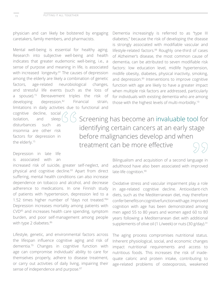physician and can likely be bolstered by engaging caretakers, family members, and pharmacists.

Mental well-being is essential for healthy aging. Research into subjective well-being and health indicates that greater eudemonic well-being, i.e., a sense of purpose and meaning in life, is associated with increased longevity.<sup>81</sup> The causes of depression among the elderly are likely a combination of genetic factors, age-related neurobiological changes, and stressful life events (such as the loss of a spouse).<sup>15</sup> Bereavement triples the risk of developing depression.82 Financial strain, limitations in daily activities due to functional and

cognitive decline, social isolation, and sleep disturbances such as insomnia are other risk factors for depression in the elderly.15

# Dementia increasingly is referred to as "type III diabetes," because the risk of developing the disease is strongly associated with modifiable vascular and lifestyle-related factors.<sup>88</sup> Roughly one-third of cases of Alzheimer's disease, the most common cause of dementia, can be attributed to seven modifiable risk factors: low education level, midlife hypertension, midlife obesity, diabetes, physical inactivity, smoking, and depression.<sup>89</sup> Interventions to improve cognitive function with age are likely to have a greater impact when multiple risk factors are addressed, particularly for individuals with existing dementia who are among those with the highest levels of multi-morbidity.10

 Screening has become an invaluable tool for identifying certain cancers at an early stage before malignancies develop and when treatment can be more effective

# Depression in late life is associated with an

increased risk of suicide, greater self-neglect, and physical and cognitive decline.<sup>83</sup> Apart from direct suffering, mental health conditions can also increase dependence on tobacco and alcohol, and decrease adherence to medications. In one Finnish study of patients with hypertension, depression led to a 1.52 times higher number of "days not treated."84 Depression increases mortality among patients with CVD85 and increases health care spending, symptom burden, and poor self-management among people with type 2 diabetes.<sup>86</sup>

Lifestyle, genetic, and environmental factors across the lifespan influence cognitive aging and risk of dementia.79 Changes in cognitive function with age can compromise individuals' ability to care for themselves properly, adhere to disease treatment, or carry out activities of daily living, impairing their sense of independence and purpose.<sup>87</sup>

Bilingualism and acquisition of a second language in adulthood have also been associated with improved late-life cognition.<sup>90</sup>

Oxidative stress and vascular impairment play a role in age-related cognitive decline. Antioxidant-rich diets, such as the Mediterranean diet, may therefore confer benefits on cognitive function with age. Improved cognition with age has been demonstrated among men aged 55 to 80 years and women aged 60 to 80 years following a Mediterranean diet with additional supplements of olive oil (1 L/week) or nuts (30 g/day).<sup>91</sup>

The aging process compromises nutritional status. Inherent physiological, social, and economic changes impact nutritional requirements and access to nutritious foods. This increases the risk of inadequate caloric and protein intake, contributing to age-related problems of osteoporosis, weakened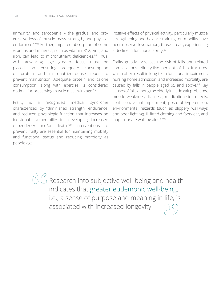immunity, and sarcopenia – the gradual and progressive loss of muscle mass, strength, and physical endurance.92,93 Further, impaired absorption of some vitamins and minerals, such as vitamin B12, zinc, and iron, can lead to micronutrient deficiencies.<sup>94</sup> Thus, with advancing age greater focus must be placed on ensuring adequate consumption of protein and micronutrient-dense foods to prevent malnutrition. Adequate protein and calorie consumption, along with exercise, is considered optimal for preserving muscle mass with age.95

Frailty is a recognized medical syndrome characterized by "diminished strength, endurance, and reduced physiologic function that increases an individual's vulnerability for developing increased dependency and/or death."80 Interventions prevent frailty are essential for maintaining mobility and functional status and reducing morbidity as people age.

Positive effects of physical activity, particularly muscle strengthening and balance training, on mobility have been observed even among those already experiencing a decline in functional ability.<sup>22</sup>

Frailty greatly increases the risk of falls and related complications. Ninety-five percent of hip fractures, which often result in long-term functional impairment, nursing home admission, and increased mortality, are caused by falls in people aged 65 and above.<sup>96</sup> Key causes of falls among the elderly include gait problems, muscle weakness, dizziness, medication side effects, confusion, visual impairment, postural hypotension, environmental hazards (such as slippery walkways and poor lighting), ill-fitted clothing and footwear, and inappropriate walking aids.97,98

 $\bigotimes G$  Research into subjective well-being and health indicates that greater eudemonic well-being, i.e., a sense of purpose and meaning in life, is associated with increased longevity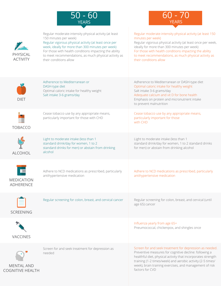



| PHYSICAL<br><b>ACTIVITY</b>                  | Regular moderate-intensity physical activity (at least<br>150 minutes per week)<br>Regular vigorous physical activity (at least once per<br>week, ideally for more than 300 minutes per week)<br>For those with health conditions impacting the ability<br>to meet recommendations, as much physical activity as<br>their conditions allow | Regular moderate-intensity physical activity (at least 150<br>minutes per week)<br>Regular vigorous physical activity (at least once per week,<br>ideally for more than 300 minutes per week)<br>For those with health conditions impacting the ability<br>to meet recommendations, as much physical activity as<br>their conditions allow |
|----------------------------------------------|--------------------------------------------------------------------------------------------------------------------------------------------------------------------------------------------------------------------------------------------------------------------------------------------------------------------------------------------|--------------------------------------------------------------------------------------------------------------------------------------------------------------------------------------------------------------------------------------------------------------------------------------------------------------------------------------------|
| <b>DIET</b>                                  | Adherence to Mediterranean or<br>DASH-type diet<br>Optimal caloric intake for healthy weight<br>Salt intake 3-6 grams/day                                                                                                                                                                                                                  | Adherence to Mediterranean or DASH-type diet<br>Optimal caloric intake for healthy weight<br>Salt intake 3-6 grams/day<br>Adequate calcium and vit D for bone health<br>Emphasis on protein and micronutrient intake<br>to prevent malnutrition                                                                                            |
| <b>TOBACCO</b>                               | Cease tobacco use by any appropriate means,<br>particularly important for those with CHD                                                                                                                                                                                                                                                   | Cease tobacco use by any appropriate means,<br>particularly important for those<br>with CHD                                                                                                                                                                                                                                                |
| <b>ALCOHOL</b>                               | Light to moderate intake (less than 1<br>standard drink/day for women, 1 to 2<br>standard drinks for men) or abstain from drinking<br>alcohol                                                                                                                                                                                              | Light to moderate intake (less than 1<br>standard drink/day for women, 1 to 2 standard drinks<br>for men) or abstain from drinking alcohol                                                                                                                                                                                                 |
| <b>MEDICATION</b><br><b>ADHERENCE</b>        | Adhere to NCD medications as prescribed, particularly<br>antihypertensive medication                                                                                                                                                                                                                                                       | Adhere to NCD medications as prescribed, particularly<br>antihypertensive medication                                                                                                                                                                                                                                                       |
| <b>SCREENING</b>                             | Regular screening for colon, breast, and cervical cancer                                                                                                                                                                                                                                                                                   | Regular screening for colon, breast, and cervical (until<br>age 65) cancer                                                                                                                                                                                                                                                                 |
| <b>VACCINES</b>                              |                                                                                                                                                                                                                                                                                                                                            | Influenza yearly from age 65+<br>Pneumococcal, chickenpox, and shingles once                                                                                                                                                                                                                                                               |
| <b>MENTAL AND</b><br><b>COGNITIVE HEALTH</b> | Screen for and seek treatment for depression as<br>needed                                                                                                                                                                                                                                                                                  | Screen for and seek treatment for depression as needed.<br>Preventive measures for cognitive decline: following a<br>healthful diet, physical activity that incorporates strength<br>training (1-2 times/week) and aerobic activity (2-5 times/<br>week), brain training exercises, and management of risk<br>factors for CVD              |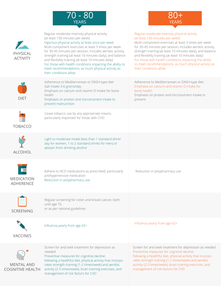



| <b>PHYSICA</b><br><b>ACTIVITY</b>            | Regular moderate-intensity physical activity<br>(at least 150 minutes per week)<br>Vigorous physical activity at least once per week<br>Multi-component exercises at least 3 times per week<br>for 30-45 minutes per session; includes aerobic activity,<br>strength training (at least 10 minutes daily), and balance<br>and flexibility training (at least 10 minutes daily)<br>For those with health conditions impacting the ability to<br>meet recommendations, as much physical activity as<br>their conditions allow | Regular moderate-intensity physical activity<br>(at least 150 minutes per week)<br>Multi-component exercises at least 3 times per week<br>for 30-45 minutes per session; includes aerobic activity,<br>strength training (at least 10 minutes daily), and balance<br>and flexibility training (at least 10 minutes daily)<br>For those with health conditions impacting the ability<br>to meet recommendations, as much physical activity as<br>their conditions allow |
|----------------------------------------------|-----------------------------------------------------------------------------------------------------------------------------------------------------------------------------------------------------------------------------------------------------------------------------------------------------------------------------------------------------------------------------------------------------------------------------------------------------------------------------------------------------------------------------|------------------------------------------------------------------------------------------------------------------------------------------------------------------------------------------------------------------------------------------------------------------------------------------------------------------------------------------------------------------------------------------------------------------------------------------------------------------------|
| <b>DIET</b>                                  | Adherence to Mediterranean or DASH-type diet<br>Salt intake 3-6 grams/day<br>Emphasis on calcium and vitamin D intake for bone<br>health<br>Emphasis on protein and micronutrient intake to<br>prevent malnutrition                                                                                                                                                                                                                                                                                                         | Adherence to Mediterranean or DASH-type diet<br>Emphasis on calcium and vitamin D intake for<br>bone health<br>Emphasis on protein and micronutrient intake to<br>prevent                                                                                                                                                                                                                                                                                              |
| <b>TOBACCO</b>                               | Cease tobacco use by any appropriate means,<br>particularly important for those with CHD                                                                                                                                                                                                                                                                                                                                                                                                                                    |                                                                                                                                                                                                                                                                                                                                                                                                                                                                        |
| <b>ALCOHOL</b>                               | Light to moderate intake (less than 1 standard drink/<br>day for women, 1 to 2 standard drinks for men) or<br>abstain from drinking alcohol                                                                                                                                                                                                                                                                                                                                                                                 |                                                                                                                                                                                                                                                                                                                                                                                                                                                                        |
| <b>MEDICATION</b><br><b>ADHERENCE</b>        | Adhere to NCD medications as prescribed, particularly<br>antihypertensive medication<br>Reduction in polypharmacy use                                                                                                                                                                                                                                                                                                                                                                                                       | Reduction in polypharmacy use                                                                                                                                                                                                                                                                                                                                                                                                                                          |
| <b>SCREENING</b>                             | Regular screening for colon and breast cancer, both<br>until age 75,<br>or as per national guidelines                                                                                                                                                                                                                                                                                                                                                                                                                       |                                                                                                                                                                                                                                                                                                                                                                                                                                                                        |
| <b>VACCINES</b>                              | Influenza yearly from age 65+                                                                                                                                                                                                                                                                                                                                                                                                                                                                                               | Influenza yearly from age 65+                                                                                                                                                                                                                                                                                                                                                                                                                                          |
| <b>MENTAL AND</b><br><b>COGNITIVE HEALTH</b> | Screen for and seek treatment for depression as<br>needed<br>Preventive measures for cognitive decline:<br>following a healthful diet, physical activity that incorpo-<br>rates strength training (1-2 times/week) and aerobic<br>activity (2-5 times/week), brain training exercises, and<br>management of risk factors for CVD                                                                                                                                                                                            | Screen for and seek treatment for depression as needed<br>Preventive measures for cognitive decline:<br>following a healthful diet, physical activity that incorpo-<br>rates strength training (1-2 times/week) and aerobic<br>activity (2-5 times/week), brain training exercises, and<br>management of risk factors for CVD                                                                                                                                          |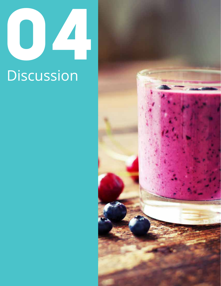# 3 **Discussion**

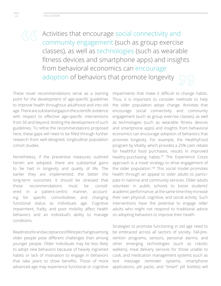Activities that encourage social connectivity and community engagement (such as group exercise classes), as well as technologies (such as wearable fitness devices and smartphone apps) and insights from behavioral economics can encourage adoption of behaviors that promote longevity

These novel recommendations serve as a starting point for the development of age-specific guidelines to improve health throughout adulthood and into old age. There are substantial gaps in the scientific evidence with respect to effective age-specific interventions from 50 and beyond, limiting the development of such guidelines. To refine the recommendations proposed here, these gaps will need to be filled through further research from well-designed, longitudinal population cohort studies.

Nonetheless, if the preventive measures outlined herein are adopted, there are substantial gains to be had in longevity and quality of life. The earlier they are implemented, the better the long-term outcomes. It should be stressed that these recommendations must be considered in a patient-centric manner, accounting for specific comorbidities and changing functional status as individuals age. Cognitive impairment, frailty, and poor mobility affect health behaviors and an individual's ability to manage conditions.

Readiness for and acceptance of lifestyle changes among older people pose different challenges than among younger people. Older individuals may be less likely to adopt new behaviors because of heavily ingrained habits or lack of motivation to engage in behaviors that take years to show benefits. Those of more advanced age may experience functional or cognitive

impairments that make it difficult to change habits. Thus, it is important to consider methods to help the older population adopt change. Activities that encourage social connectivity and community engagement (such as group exercise classes), as well as technologies (such as wearable fitness devices and smartphone apps) and insights from behavioral economics can encourage adoption of behaviors that promote longevity. For example, the HealthyFood program by Vitality, which provides a 25% cash rebate for healthful food purchases, results in improved healthy-purchasing habits.<sup>99</sup> The Experience Corps approach is a novel strategy to drive engagement of the older population.<sup>100</sup> This social model promotes health through an appeal to older adults to participate in national and community services. Older adults volunteer in public schools to boost students' academic performance; at the same time they increase their own physical, cognitive, and social activity. Such interventions have the potential to engage older adults who might not respond to traditional advice on adopting behaviors to improve their health.

Strategies to promote functioning in old age need to be embraced across all sectors of society. Fall-prevention programs, sensors, personal alarms, and other emerging technologies (such as robotic walkers), meal delivery services for those unable to cook, and medication management systems (such as text message reminder systems, smartphone applications, pill packs, and "smart" pill bottles) will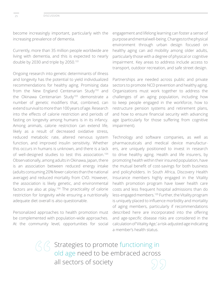become increasingly important, particularly with the increasing prevalence of dementia.

Currently, more than 35 million people worldwide are living with dementia, and this is expected to nearly double by 2030 and triple by 2050.<sup>101</sup>

Ongoing research into genetic determinants of illness and longevity has the potential to yield individualized recommendations for healthy aging. Promising data from the New England Centenarian Study<sup>102</sup> and the Okinawa Centenarian Study<sup>103</sup> demonstrate a number of genetic modifiers that, combined, can extend survival to more than 100 years of age. Research into the effects of calorie restriction and periods of fasting on longevity among humans is in its infancy. Among animals, calorie restriction can extend life, likely as a result of decreased oxidative stress, reduced metabolic rate, altered nervous system function, and improved insulin sensitivity. Whether this occurs in humans is unknown, and there is a lack of well-designed studies to test this association.104 Observationally, among adults in Okinawa, Japan, there is an association between reduced energy intake (adults consuming 20% fewer calories than the national average) and reduced mortality from CVD. However, the association is likely genetic, and environmental factors are also at play.<sup>104</sup> The practicality of calorie restriction for longevity while ensuring a nutritionally adequate diet overall is also questionable.

Personalized approaches to health promotion must be complemented with population-wide approaches. At the community level, opportunities for social

engagement and lifelong learning can foster a sense of purpose and mental well-being. Changes to the physical environment through urban design focused on healthy aging can aid mobility among older adults, particularly those with a degree of physical or cognitive impairment. Key areas to address include access to transport, outdoor recreation, and safe street design.

Partnerships are needed across public and private sectors to promote NCD prevention and healthy aging. Organizations must work together to address the challenges of an aging population, including how to keep people engaged in the workforce, how to restructure pension systems and retirement plans, and how to ensure financial security with advancing age (particularly for those suffering from cognitive impairment).

Technology and software companies, as well as pharmaceuticals and medical device manufacturers, are uniquely positioned to invest in research to drive healthy aging. Health and life insurers, by promoting health within their insured population, have the mutual benefit of cost-savings for both business and policyholders. In South Africa, Discovery Health Insurance members highly engaged in the Vitality health promotion program have lower health care costs and less frequent hospital admissions than do less-engaged members.105 Further, the Vitality program is uniquely placed to influence morbidity and mortality of aging members, particularly if recommendations described here are incorporated into the offering and age-specific disease risks are considered in the calculation of 'Vitality Age,' a risk-adjusted age indicating a member's health status.

Strategies to promote functioning in old age need to be embraced across all sectors of society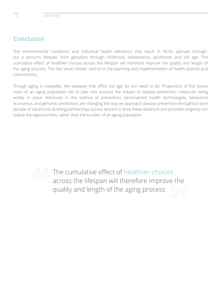# Conclusion

The environmental conditions and individual health behaviors that result in NCDs operate throughout a person's lifespan, from gestation through childhood, adolescence, adulthood, and old age. The cumulative effect of healthier choices across the lifespan will therefore improve the quality and length of the aging process. This fact must remain central to the planning and implementation of health policies and interventions.

Though aging is inevitable, the diseases that afflict old age do not need to be. Projections of the future costs of an aging population fail to take into account the impact of disease prevention measures being widely in place. Advances in the science of prevention, personalized health technologies, behavioral economics, and genomic predictions are changing the way we approach disease prevention throughout each decade of adulthood. Building partnerships across sectors to drive these advances and promote longevity can realize the opportunities, rather than the burden, of an aging population.

> The cumulative effect of healthier choices across the lifespan will therefore improve the quality and length of the aging process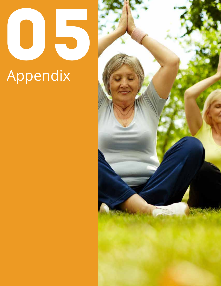# 05 Appendix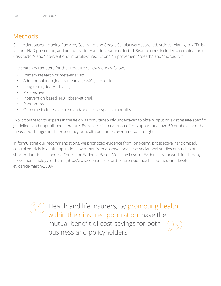# Methods

Online databases including PubMed, Cochrane, and Google Scholar were searched. Articles relating to NCD risk factors, NCD prevention, and behavioral interventions were collected. Search terms included a combination of <risk factor> and "intervention," "mortality," "reduction," "improvement," "death," and "morbidity."

The search parameters for the literature review were as follows:

- Primary research or meta-analysis
- Adult population (ideally mean age >40 years old)
- Long term (ideally >1 year)
- **Prospective**
- Intervention based (NOT observational)
- Randomized
- Outcome includes all-cause and/or disease-specific mortality

Explicit outreach to experts in the field was simultaneously undertaken to obtain input on existing age-specific guidelines and unpublished literature. Evidence of intervention effects apparent at age 50 or above and that measured changes in life expectancy or health outcomes over time was sought.

In formulating our recommendations, we prioritized evidence from long-term, prospective, randomized, controlled trials in adult populations over that from observational or associational studies or studies of shorter duration, as per the Centre for Evidence-Based Medicine Level of Evidence framework for therapy, prevention, etiology, or harm (http://www.cebm.net/oxford-centre-evidence-based-medicine-levelsevidence-march-2009/).

> Health and life insurers, by promoting health within their insured population, have the mutual benefit of cost-savings for both business and policyholders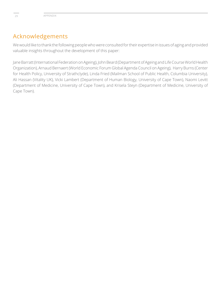# Acknowledgements

We would like to thank the following people who were consulted for their expertise in issues of aging and provided valuable insights throughout the development of this paper:

Jane Barratt (International Federation on Ageing), John Beard (Department of Ageing and Life Course World Health Organization), Arnaud Bernaert (World Economic Forum Global Agenda Council on Ageing), Harry Burns (Center for Health Policy, University of Strathclyde), Linda Fried (Mailman School of Public Health, Columbia University), Ali Hassan (Vitality UK), Vicki Lambert (Department of Human Biology, University of Cape Town), Naomi Levitt (Department of Medicine, University of Cape Town), and Krisela Steyn (Department of Medicine, University of Cape Town).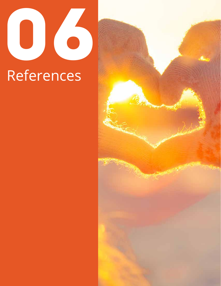

# References

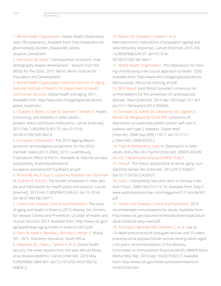1. World Health Organization. Global Health Observatory data: life expectancy. Available from: http://www.who.int/ gho/mortality\_burden\_disease/life\_tables/ situation\_trends/en/.

2. Herrmann M, editor. Consequential omissions. How demography shapes development – lessons from the MDGs for the SDGs. 2015. Berlin; Berlin Institute for Population and Development.

3. World Health Organization, National Institute on Aging, National Institute of Health, US Department of Health and Human Services. Global health and aging. 2011. Available from: http://www.who.int/ageing/publications/ global\_health/en/.

4. Chatterji S, Byles J, Cutler D, Seeman T, Verdes E. Health, functioning, and disability in older adults—

present status and future implications. Lancet [Internet]. 2015 Feb 7;385(9967):563-75. doi:10.1016/ S0140-6736(14)61462-8.

5. European Commission. The 2015 Ageing Report: economic and budgetary projections for the 28 EU member states (2013-2060). 2015. Luxembourg, Publications Office of the EU. Available at: http://ec.europa. eu/economy\_finance/publications/

european\_economy/2015/pdf/ee3\_en.pdf.

6. Prince MJ, Wu F, Guo Y, Gutierrez Robledo LM, O'Donnell M, Sullivan R, Yusuf S. The burden of disease in older people and implications for health policy and practice. Lancet [Internet]. 2015 Feb 7;385(9967):549-62. doi:10.1016/ S0140-6736(14)61347-7.

7. Centers for Disease Control and Prevention. The state of aging and health in America 2013. Atlanta, GA: Centers for Disease Control and Prevention, US Dept of Health and Human Services; 2013. Available from: http://www.cdc.gov/ aging/pdf/state-aging-health-in-america-2013.pdf.

8. Ganz M, Modi Y, Maroba J, Nicholas J, Verryn S. Vitality 50+. 2015. Discovery Insurance, South Africa.

9. Heymann DL, Chen L, Takemi K, et al. Global health security: the wider lessons from the west African Ebola virus disease epidemic. Lancet [Internet]. 2015 May 9;385(9980):1884-901. doi:10.1016/S0140-6736(15) 60858-3.

# 10. Bloom DE, Chatterji S, Kowal P, et al.

Macroeconomic implications of population ageing and selected policy responses. Lancet [Internet]. 2015 Feb 14;385(9968):649-57. doi:10.1016/ S0140-6736(14)61464-1.

11. World Health Organization. The implications for training of embracing a life course approach to health. 2000. Available from: http://www.who.int/ageing/publications/ lifecourse/alc\_lifecourse\_training\_en.pdf.

12. JBS3 Board. Joint British Societies' consensus recommendations for the prevention of cardiovascular disease. Heart [Internet]. 2014 Apr;100 Suppl 2:ii1-ii67. doi:10.1136/heartjnl-2014-305693.

13. Gonzalez JS, Safren SA, Delahanty LM, Cagliero E, Wexler DJ, Meigsand JB, Grant RW. Symptoms of depression prospectively predict poorer self-care in patients with type 2 diabetes. Diabet Med [Internet]. 2008 Sep;25(9):1102-7. doi:10.1111/ j.1464-5491.2008.02535.x.

14. Fiske A, Wetherell JL, Gatz M. Depression in older adults. Annu Rev Clin Psychol [Internet]. 2009;5:363-89. doi:10.1146/annurev.clinpsy.032408.153621.

15. Fries JF. The theory and practice of active aging. Curr Gerontol Geriatr Res [Internet]. 2012;2012:420637. doi:10.1155/2012/420637.

16. Scott I. Interpreting risks and ratios in therapy trials. Aust Prescr. 2008 Feb;31(1):12-16. Available from: http:// www.australianprescriber.com/magazine/31/1/article/941. pdf.

17. Centers for Disease Control and Prevention. 2015 recommended immunizations for adults. Available from: http://www.cdc.gov/vaccines/schedules/downloads/adult/ adult-schedule-easy-read.pdf.

18. Tomczyk S, Bennett NM, Stoecker C, et al. Use of 13-valent pneumococcal conjugate vaccine and 23-valent pneumococcal polysaccharide vaccine among adults aged ≥ 65 years: recommendations of the Advisory Committee on Immunization Practices (ACIP). MMWR Morb Mortal Wkly Rep. 2014 Sep 19;63(37):822-5. Available from: http://www.cdc.gov/mmwr/preview/mmwrhtml/ mm6337a4.htm.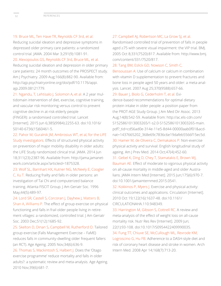# 19. Bruce ML, Ten Have TR, Reynolds CF 3rd, et al.

Reducing suicidal ideation and depressive symptoms in depressed older primary care patients: a randomized control trial. JAMA. 2004 Mar 3;291(9):1081-91. 20. Alexopoulos GS, Reynolds CF 3rd, Bruce ML, et al.

Reducing suicidal ideation and depression in older primary care patients: 24 month outcomes of the PROSPECT study. Am J Psychiatry. 2009 Aug;166(8):882-90. Available from: http://ajp.psychiatryonline.org/doi/pdf/10.1176/appi. ajp.2009.08121779.

21. Ngandu, T, Lehtisalo J, Solomon A, et al. A 2 year multidomain intervention of diet, exercise, cognitive training, and vascular risk monitoring versus control to prevent cognitive decline in at-risk elderly people (FINGER): a randomised controlled trial. Lancet [Internet]. 2015 Jun 6;385(9984):2255-63. doi:10.1016/ S0140-6736(15)60461-5.

22. Pahor M, Guralnik JM, Ambrosius WT, et al, for the LIFE Study investigators. Effects of structured physical activity on prevention of major mobility disability in older adults: the LIFE Study randomized clinical trial. JAMA. 2014 Jun 18;311(23):2387-96. Available from: http://jama.jamanetwork.com/article.aspx?articleid=1875328.

23. Wolf SL, Barnhart HX, Kutner NG, McNeely E, Coogler C, Xu T. Reducing frailty and falls in older persons: an investigation of Tai Chi and computerized balance training. Atlanta FISCIT Group. J Am Geriatr Soc. 1996 May;44(5):489-97.

24. Lord SR, Castell S, Corcoran J, Dayhew J, Matters B, Shan A, Williams P. The effect of group exercise on physical functioning and falls in frail older people living in retirement villages: a randomized, controlled trial. J Am Geriatr Soc. 2003 Dec;51(12):1685-92.

25. Skelton D, Dinan S, Campbell M, Rutherford O. Tailored group exercise (Falls Management Exercise – FaME) reduces falls in community-dwelling older frequent fallers (an RCT). Age Ageing. 2005 Nov;34(6):636-9.

26. Thomas S, Mackintosh S, Halbert J. Does the 'Otago exercise programme' reduce mortality and falls in older adults?: a systematic review and meta-analysis. Age Ageing. 2010 Nov;39(6):681-7.

# 27. Campbell AJ, Robertson MC, La Grow SJ, et al.

Randomised controlled trial of prevention of falls in people aged ≥75 with severe visual impairment: the VIP trial. BMJ. 2005 Oct 8;331(7520):817. Available from: http://www.bmj. com/content/331/7520/817.

# 28. Tang BM, Eslick GD, Nowson C, Smith C,

Bensoussan A. Use of calcium or calcium in combination with vitamin D supplementation to prevent fractures and bone loss in people aged 50 years and older: a meta-analysis. Lancet. 2007 Aug 25;370(9588):657-66.

# 29. Bauer J, Biolo G, Cederholm T, et al. Evi-

dence-based recommendations for optimal dietary protein intake in older people: a position paper from the PROT-AGE Study Group. J Am Med Dir Assoc. 2013 Aug;14(8):542-59. Available from: http://ac.els-cdn.com/ S1525861013003265/1-s2.0-S1525861013003265-main. pdf?\_tid=cd56ad0e-314e-11e5-8d44-00000aab0f01&acdnat=1437665202\_368e69c7836c6e19dafeb5566f15ec5d.

30. Hamer M, de Oliveira C, Demakakos P. Non-exercise physical activity and survival: English longitudinal study of ageing. Am J Prev Med. 2014 Oct;47(4):452-60.

#### 31. Gebel K, Ding D, Chey T, Stamatakis E, Brown WJ,

Bauman AE. Effect of moderate to vigorous physical activity on all-cause mortality in middle-aged and older Australians. JAMA Intern Med [Internet]. 2015 Jun;175(6):970-7. doi:10.1001/jamainternmed.2015.0541.

32. Kokkinos P, Myers J. Exercise and physical activity: clinical outcomes and applications. Circulation [Internet]. 2010 Oct 19;122(16):1637-48. doi:10.1161/ CIRCULATIONAHA.110.948349.

33. Harrington M, Gibson S, Cottrell RC. A review and meta-analysis of the effect of weight loss on all-cause mortality risk. Nutr Res Rev [Internet]. 2009 Jun; 22(1):93-108. doi:10.1017/S0954422409990035. 34. Fung TT, Chiuve SE, McCullough ML, Rexrode KM, Logroscino G, Hu FB. Adherence to a DASH-style diet and risk of coronary heart disease and stroke in women. Arch Intern Med. 2008 Apr 14;168(7):713-20.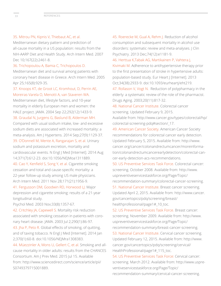# 35. Mitrou PN, Kipnis V, Thiebaut AC, et al.

Mediterranean dietary pattern and prediction of all-cause mortality in a US population: results from the NIH-AARP Diet and Health Study. Arch Intern Med. 2007 Dec 10;167(22):2461-8.

36. Trichopoulou A, Bamia C, Trichopoulos D. Mediterranean diet and survival among patients with coronary heart disease in Greece. Arch Intern Med. 2005 Apr 25;165(8):929-35.

37. Knoops KT, de Groot LC, Kromhout, D, Perrin AE, Moreiras-Varela O, Menotti A, van Staveren WA.

Mediterranean diet, lifestyle factors, and 10-year mortality in elderly European men and women: the HALE project. JAMA. 2004 Sep 22;292(12):1433-9.

38. Graudal N, Jurgens G, Baslund B, Alderman MH. Compared with usual sodium intake, low- and excessive sodium diets are associated with increased mortality: a meta-analysis. Am J Hypertens. 2014 Sep;27(9):1129-37. 39. O'Donnell M, Mente A, Rangarajan S, et al. Urinary sodium and potassium excretion, mortality and cardiovascular events. N Engl J Med [Internet]. 2014 Aug 14;371(7):612-23. doi:10.1056/NEJMoa1311889.

40. Cao Y, Kenfield S, Song Y, et al. Cigarette smoking cessation and total and cause-specific mortality: a 22-year follow-up study among US male physicians. Arch Intern Med. 2011 Nov 28;171(21):1956-9.

41. Fergusson DM, Goodwin RD, Horwood LJ. Major depression and cigarette smoking: results of a 21-year longitudinal study.

Psychol Med. 2003 Nov;33(8):1357-67.

42. Critchley JA, Capewell S. Mortality risk reduction associated with smoking cessation in patients with coronary heart disease. JAMA. 2003 Jul 2;290(1):86-97. 43. Jha P, Peto R. Global effects of smoking, of quitting, and of taxing tobacco. N Engl J Med [Internet]. 2014 Jan 2;370(1):60-8. doi:10.1056/NEJMra1308383.

44. Müezzinler A, Mons U, Gellert C, et al. Smoking and allcause mortality in older adults: results from the CHANCES Consortium. Am J Prev Med. 2015 Jul 15. Available from: http://www.sciencedirect.com/science/article/pii/ S0749379715001889.

45. Roerecke M, Gual A, Rehm J. Reduction of alcohol consumption and subsequent mortality in alcohol use disorders: systematic review and meta-analyses. J Clin Psychiatry. 2013 Dec;74(12):e1181-9.

46. Herttua K,Tabak AG, Martikainen P, Vahtera J,

Kivimaki M. Adherence to antihypertensive therapy prior to the first presentation of stroke in hypertensive adults: population-based study. Eur Heart J [Internet]. 2013 Oct;34(38):2933-9. doi:10.1093/eurheartj/eht219.

47. Rollason V, Vogt N. Reduction of polypharmacy in the elderly: a systematic review of the role of the pharmacist. Drugs Aging. 2003;20(11):817-32.

48. National Cancer Institute. Colorectal cancer screening. Updated February 9, 2015.

Available from: http://www.cancer.gov/types/colorectal/hp/ colorectal-screening-pdq#section/\_17.

49. American Cancer Society. American Cancer Society recommendations for colorectal cancer early detection. Updated February 5, 2015. Available from: http://www. cancer.org/cancer/colonandrectumcancer/moreinformation/colonandrectumcancerearlydetection/colorectal-cancer-early-detection-acs-recommendations.

50. US Preventive Services Task Force. Colorectal cancer: screening. October 2008. Available from: http://www. uspreventiveservicestaskforce.org/Page/Topic/ recommendation-summary/colorectal-cancer-screening.

51. National Cancer Institute. Breast cancer screening. Updated April 2, 2015. Available from: http://www.cancer. gov/cancertopics/pdq/screening/breast/ healthprofessional/page1#\_10\_toc.

52. US Preventive Services Task Force. Breast cancer: screening. November 2009. Available from: http://www. uspreventiveservicestaskforce.org/Page/Topic/ recommendation-summary/breast-cancer-screening. 53. National Cancer Institute. Cervical cancer screening. Updated February 12, 2015. Available from: http://www. cancer.gov/cancertopics/pdq/screening/cervical/ HealthProfessional/page1#\_115\_toc.

54. US Preventive Services Task Force: Cervical cancer: screening. March 2012. Available from: http://www.uspreventiveservicestaskforce.org/Page/Topic/ recommendation-summary/cervical-cancer-screening.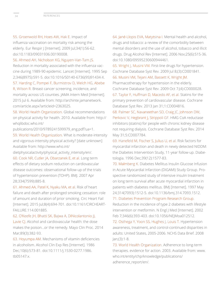55. Groenwold RH, Hoes AW, Hak E. Impact of influenza vaccination on mortality risk among the elderly. Eur Respir J [Internet]. 2009 Jul;34(1):56-62. doi:10.1183/09031936.00190008.

56. Ahmed AH, Nicholson KG, Nguyen-Van-Tam JS.

Reduction in mortality associated with the influenza vaccine during 1989-90 epidemic. Lancet [Internet]. 1995 Sep 2;346(8975):591-5. doi:10.1016/S0140-6736(95)91434-X.

57. Harding C, Pompei F, Burmistrov D, Welch HG, Abebe

R, Wilson R. Breast cancer screening, incidence, and mortality across US counties. JAMA Intern Med [Internet]. 2015 Jul 6. Available from: http://archinte.jamanetwork. com/article.aspx?articleid=2363025.

58. World Health Organization. Global recommendations on physical activity for health. 2010. Available from: http:// whqlibdoc.who.int/

publications/2010/9789241599979\_eng.pdf?ua=1.

59. World Health Organization. What is moderate-intensity and vigorous-intensity physical activity? [date unknown] Available from: http://www.who.int/

dietphysicalactivity/physical\_activity\_intensity/en/.

60. Cook NR, Cutler JA, Obarzanek E, et al. Long term effects of dietary sodium reduction on cardiovascular disease outcomes: observational follow-up of the trials of hypertension prevention (TOHP). BMJ. 2007 Apr 28;334(7599):885-8.

61. Ahmed AA, Patel K, Nyaku MA, et al. Risk of heart failure and death after prolonged smoking cessation: role of amount and duration of prior smoking. Circ Heart Fail [Internet]. 2015 Jul;8(4):694-701. doi:10.1161/CIRCHEART-FAILURE.114.001885.

62. O'Keefe JH, Bhatti SK, Bajwa A, DiNicolantonio JJ,

Lavie CJ. Alcohol and cardiovascular health: the dose makes the poison…or the remedy. Mayo Clin Proc. 2014 Mar;89(3):382-93.

63. Hoyumpa AM. Mechanisms of vitamin deficiencies in alcoholism. Alcohol Clin Exp Res [Internet]. 1986 Dec;10(6):573-81. doi:10.1111/j.1530-0277.1986. tb05147.x.

64. Jané-Llopis EVA, Matytsina I. Mental health and alcohol, drugs and tobacco: a review of the comorbidity between mental disorders and the use of alcohol, tobacco and illicit drugs. Drug Alcohol Rev [Internet]. 2006 Nov;25(6):515-36. doi:10.1080/09595230600944461.

65. Wright J, Musini VM. First-line drugs for hypertension. Cochrane Database Syst Rev. 2009 Jul 8;(3):CD001841. 66. Musini VM, Tejani AM, Bassett K, Wright JM.

Pharmacotherapy for hypertension in the elderly. Cochrane Database Syst Rev. 2009 Oct 7;(4):CD000028. 67. Taylor F, Huffman D, Macedo AF, et al. Statins for the primary prevention of cardiovascular disease. Cochrane Database Syst Rev. 2013 Jan 31;1:CD004816.

68. Palmer SC, Navaneethan SD, Craig JC, Johnson DW, Perkovic V, Hegbrant J, Strippoli GF. HMG CoA reductase inhibitors (statins) for people with chronic kidney disease not requiring dialysis. Cochrane Database Syst Rev. 2014 May 31;5:CD007784.

69. Hanefeld M, Fischer S, Julius U, et al. Risk factors for myocardial infarction and death in newly detected NIDDM: the Diabetes Intervention Study, 11-year follow-up. Diabetologia. 1996 Dec;39(12):1577-83.

70. Malmberg K. Diabetes Mellitus Insulin Glucose Infusion in Acute Myocardial Infarction (DIGAMI) Study Group. Prospective randomized study of intensive insulin treatment on long term survival after acute myocardial infarction in patients with diabetes mellitus. BMJ [Internet]. 1997 May 24;314(7093):1512-5. doi:10.1136/bmj.314.7093.1512.

71. Diabetes Prevention Program Research Group.

Reduction in the incidence of type 2 diabetes with lifestyle intervention or metformin. N Engl J Med [Internet]. 2002 Feb 7;346(6):393-403. doi:10.1056/NEJMoa012512.

72. Osthega Y, Yoon SS, Hughes J, Louis T. Hypertension awareness, treatment, and control-continued disparities in adults: United States, 2005-2006. NCHS Data Brief. 2008 Jan;(3):1-8.

73. World Health Organization. Adherence to long-term therapies. evidence for action. 2003. Available from: www. who.int/entity/chp/knowledge/publications/ adherence\_report/en/.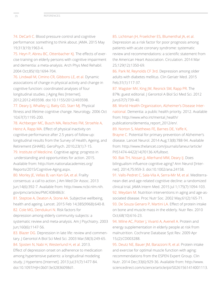74. DeCarli C. Blood pressure control and cognitive performance: something to think about. JAMA. 2015 May 19;313(19):1963-4.

75. Heyn P, Abreu BC, Ottenbacher KJ. The effects of exercise training on elderly persons with cognitive impairment and dementia: a meta-analysis. Arch Phys Med Rehabil. 2004 Oct;85(10):1694-704.

76. Lindwall M, Cimino CR, Gibbons LE, et al. Dynamic associations of change in physical activity and change in cognitive function: coordinated analyses of four longitudinal studies. J Aging Res [Internet]. 2012;2012:493598. doi:10.1155/2012/493598.

77. Deary IJ, Whalley LJ, Batty GD, Starr MJ. Physical fitness and lifetime cognitive change. Neurology. 2006 Oct 10;67(7):1195-200.

78. Aichberger MC, Busch MA, Reischies FM, Stroehle A, Heinz A, Rapp MA. Effect of physical inactivity on cognitive performance after 2.5 years of follow-up: longitudinal results from the Survey of Health, Ageing, and Retirement (SHARE). GeroPsych. 2010;23(1):7-15.

79. Institute of Medicine. Cognitive aging: progress in understanding and opportunities for action. 2015. Available from: http://iom.nationalacademies.org/ Reports/2015/Cognitive-Aging.aspx.

80. Morley JE, Vellas B, van Kan GA, et al. Frailty consensus: a call to action. J Am Med Dir Assoc. 2013 Jun;14(6):392-7. Available from: http://www.ncbi.nlm.nih. gov/pmc/articles/PMC4084863/.

81. Steptoe A, Deaton A, Stone AA. Subjective wellbeing, health and ageing. Lancet. 2015 Feb 14;385(9968):640-8.

82. Cole MG, Dendukuri N. Risk factors for depression among elderly community subjects: a systematic review and meta-analysis. Am J Psychiatry. 2003 Jun;160(6):1147-56.

83. Blazer DG. Depression in late life: review and commentary. J Gerontol A Biol Sci Med Sci. 2003 Mar;58(3):249-65. 84. Sjosten N, Nabi H, Westerlund H, et al. 2013.

Effect of depression onset on adherence to medication among hypertensive patients: a longitudinal modeling study. J Hypertens [Internet]. 2013 Jul;31(7):1477-84. doi:10.1097/HJH.0b013e32836098d1.

# 85. Lichtman JH, Froelicher ES, Blumenthal JA, et al.

Depression as a risk factor for poor prognosis among patients with acute coronary syndrome: systematic review and recommendations: a scientific statement from the American Heart Association. Circulation. 2014 Mar 25;129(12):1350-69.

86. Park M, Reynolds CF 3rd. Depression among older adults with diabetes mellitus. Clin Geriatr Med. 2015 Feb;31(1):117-37.

87. Wagster MV, King JW, Resnick SM, Rapp PR. The 87%: guest editorial. J Gerontol A Biol Sci Med Sci. 2012 Jun;67(7):739-40.

88. World Health Organization, Alzheimer's Disease International. Dementia: a public health priority. 2012. Available from: http://www.who.int/mental\_health/ publications/dementia\_report\_2012/en/.

89. Norton S, Matthews FE, Barnes DE, Yaffe K,

Brayne C. Potential for primary prevention of Alzheimer's disease. Lancet Neurol. 2014 Aug;13(8):788-94. Available from: http://www.thelancet.com/journals/laneur/article/ PIIS1474-4422(14)70136-X/fulltext.

90. Bak TH, Nissan JJ, Allerhand MM, Deary IJ. Does bilingualism influence cognitive aging? Ann Neurol [Internet]. 2014;75:959-3. doi:10.1002/ana.24158.

91. Valls-Pedret C, Sala-Vila A, Serra-Mir M, et al. Mediterranean diet and age-related cognitive decline: a randomized clinical trial. JAMA Intern Med. 2015 Jul 1;175(7):1094-103. 92. Meydani M. Nutrition interventions in aging and age-associated disease. Proc Nutr Soc. 2002 May;61(2):165-71. 93. De Souza Genaro P, Martini LA. Effect of protein intake on bone and muscle mass in the elderly. Nutr Rev. 2010 Oct;68(10):616-23.

94. Milne AC, Potter J, Vivanti A, Avenell A. Protein and energy supplementation in elderly people at risk from malnutrition. Cochrane Database Syst Rev. 2009 Apr 15;(2):CD003288.

95. Deutz NE, Bauer JM, Barazzoni R, et al. Protein intake and exercise for optimal muscle function with aging: recommendations from the ESPEN Expert Group. Clin Nutr. 2014 Dec;33(6):929-36. Available from: http://www. sciencedirect.com/science/article/pii/S0261561414001113.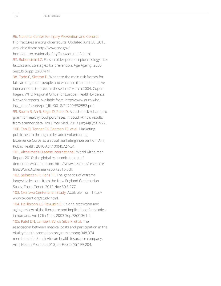96. National Center for Injury Prevention and Control. Hip fractures among older adults. Updated June 30, 2015. Available from: http://www.cdc.gov/

homeandrecreationalsafety/falls/adulthipfx.html. 97. Rubenstein LZ. Falls in older people: epidemiology, risk factors and strategies for prevention. Age Ageing. 2006 Sep;35 Suppl 2:ii37-ii41.

98. Todd C, Skelton D. What are the main risk factors for falls among older people and what are the most effective interventions to prevent these falls? March 2004. Copenhagen, WHO Regional Office for Europe (Health Evidence Network report). Available from: http://www.euro.who. int/\_\_data/assets/pdf\_file/0018/74700/E82552.pdf. 99. Sturm R, An R, Segal D, Patel D. A cash-back rebate program for healthy food purchases in South Africa: results from scanner data. Am J Prev Med. 2013 Jun;44(6):567-72. 100. Tan EJ, Tanner EK, Seeman TE, et al. Marketing public health through older adult volunteering: Experience Corps as a social marketing intervention. Am J

Public Health. 2010 Apr;100(4):727-34.

101. Alzheimer's Disease International. World Alzheimer Report 2010: the global economic impact of dementia. Available from: http://www.alz.co.uk/research/ files/WorldAlzheimerReport2010.pdf.

102. Sebastiani P, Perls TT. The genetics of extreme longevity: lessons from the New England Centenarian Study. Front Genet. 2012 Nov 30;3:277.

103. Okinawa Centenarian Study. Available from: http:// www.okicent.org/study.html.

104. Heillbronn LK, Ravussin E. Calorie restriction and aging: review of the literature and implications for studies in humans. Am J Clin Nutr. 2003 Sep;78(3):361-9. 105. Patel DN, Lambert EV, da Silva R, et al. The association between medical costs and participation in the Vitality health promotion program among 948,974 members of a South African health insurance company. Am J Health Promot. 2010 Jan-Feb;24(3):199-204.